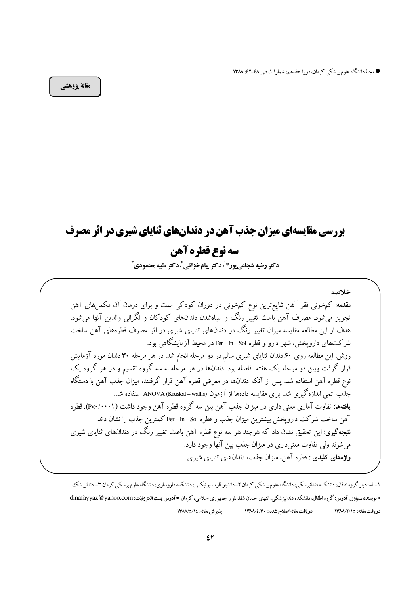● مجلة دانشگاه علوم پزشكي كرمان، دورة هفدهم، شمارة ١، ص ٤٨-٤٢، ١٣٨٨

مقالة يژوهشي

# **بررسی مقایسهای میزان جذب آهن در دندانهای ثنایای شیری در اثر مصرف** سه نوع قطره آهن

دكتر رضيه شجاعي يور\*'، دكتر ييام خزائلي ً، دكتر طيبه محمودي <sup>1</sup>

خلاصه مقدمه: کمخونی فقر آهن شایع ترین نوع کمخونی در دوران کودکی است و برای درمان آن مکملهای آهن تجویز میشود. مصرف آهن باعث تغییر رنگ و سیاهشدن دندانهای کودکان و نگرانی والدین آنها میشود. هدف از این مطالعه مقایسه میزان تغییر رنگ در دندانهای ثنایای شیری در اثر مصرف قطرههای آهن ساخت شرکتهای داروپخش، شهر دارو و قطره Fer–In–Sol در محیط آزمایشگاهی بود. روش: این مطالعه روی ۶۰ دندان ثنایای شیری سالم در دو مرحله انجام شد. در هر مرحله ۳۰ دندان مورد آزمایش قرار گرفت وبین دو مرحله یک هفته فاصله بود. دندانها در هر مرحله به سه گروه تقسیم و در هر گروه یک نوع قطره آهن استفاده شد. پس از آنکه دندانها در معرض قطره آهن قرار گرفتند، میزان جذب آهن با دستگاه جذب اتمی اندازه گیری شد. برای مقایسه دادهها از آزمون ANOVA (Kruskal– wallis) استفاده شد. یافتهها: تفاوت آماری معنی داری در میزان جذب آهن بین سه گروه قطره آهن وجود داشت ( ۱۰۰۰/۰۰۰). قطره آهن ساخت شركت داروپخش بیشترین میزان جذب و قطره Fer–In–Sol كمترین جذب را نشان داند. **نتیجهگیری**: این تحقیق نشان داد که هرچند هر سه نوع قطره آهن باعث تغییر رنگ در دندانهای ثنایای شیری می شوند ولی تفاوت معنیداری در میزان جذب بین آنها وجود دارد. واژههای کلیدی : قطره آهن، میزان جذب، دندانهای ثنایای شیری

۱– استادیار گروه اطفال، دانشکده دندانیزشکی، دانشگاه علوم یز شکی کرمان ۲– دانشیار فارماسیوتیکس داروسازی، دانشگاه علوم یزشکی کرمان ۳– دندانیزشک \* فویسنده مسؤول، آدرس: گروه اطفال، دانشکده دندانیز شکی، انتهای خیابان شفا، بلوار جمهوری اسلامی، کرمان • آدرس پست الکترونیک: dinafayyaz@yahoo.com يذيوش مقاله: ١٣٨٨/٥/١٤ دريافت مقاله اصلاح شده : ١٣٨٨/٤/٣٠ دريافت مقاله: ١٣٨٨/٢/١٥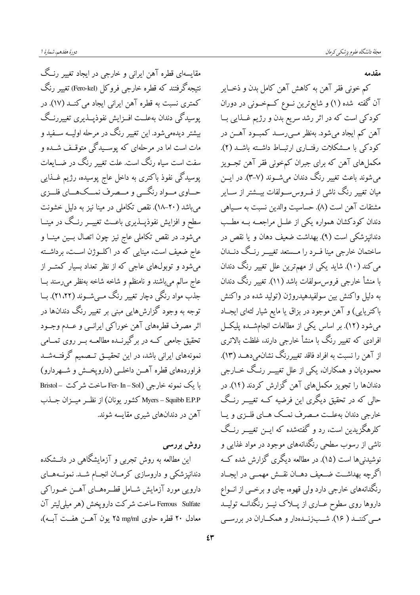مقابسهای قطره آهن ایرانی و خارجی در ایجاد تغییر رنیگ نتيجه گرفتند كه قطره خارجي فروكل (Fero-kel) تغيير رنگ کمتری نسبت به قطره آهن ایرانی ایجاد می کنــد (۱۷). در پوسیدگی دندان بهعلــت افــزایش نفوذپـــذیری تغییررنــگ بیشتر دیدهمیشود. این تغییر رنگ در مرحله اولیــه ســفید و مات است اما در مرحلهای که پوسـیدگی متوقـف شــده و سفت است سیاه رنگ است. علت تغییر رنگ در ضــایعات پوسیدگی نفوذ باکتری به داخل عاج پوسیده، رژیم غــذایی حــاوي مــواد رنگــي و مــصرف نمــكـهــاي فلــزي می باشد (۲۰–۱۸). نقص تکاملی در مینا نیز به دلیل خشونت سطح و افزایش نفوذپـــذیری باعـــث تغییـــر رنــگ در مینـــا میشود. در نقص تکاملی عاج نیز چون اتصال بسین مینــا و عاج ضعیف است، مینایی که در اکلــوژن اســت، برداشــته می شود و توبولهای عاجی که از نظر تعداد بسیار کمتــر از عاج سالم مي باشند و نامنظم و شاخه شاخه بهنظر مي رسند ب جذب مواد رنگی دچار تغییر رنگ مــیشــوند (۲۱،۲۲). بــا توجه به وجود گزارشهایی مبنی بر تغییر رنگ دندانها در اثر مصرف قطرههاي آهن خوراكي ايرانسي و عــدم وجــود تحقیق جامعی کــه در برگیرنــده مطالعــه بــر روی تمــامی نمونههای ایرانی باشد، در این تحقیــق تــصمیم گرفتــهشــد فراوردههای قطره آهــن داخلــی (داروپخــش و شــهردارو) با یک نمونه خارجی (Fer- In – Sol ساخت شرکت – Bristol Myers – Squibb E.P.P كشور يونان) از نظــر ميــزان جــذب آهن در دندانهای شیری مقایسه شوند.

روش بررسی این مطالعه به روش تجربی و آزمایشگاهی در دانــشکده دندانپزشکی و داروسازی کرمـان انجــام شــد. نمونــههــای دارویی مورد آزمایش شــامل قطــرههــای آهــن خــوراکی Ferrous Sulfate ساخت شركت دارويخش (هر ميلي/يتر آن معادل ٢٠ قطره حاوي ٢٥ mg/ml يون آهــن هفــت آبــه)،

مقدمه

کم خونی فقر آهن به کاهش آهن کامل بدن و ذخــایر آن گفته شده (۱) و شایع ترین نــوع کــمخــونی در دوران کودکی است که در اثر رشد سریع بدن و رژیم غــذایی بــا آهن کم ایجاد می شود. بهنظر مــی رســد کمبــود آهــن در کودکی با مــشکلات رفتــاری ارتبــاط داشــته باشــد (۲). مکملهای آهن که برای جبران کمخونی فقر آهن تجــویز میشوند باعث تغییر رنگ دندان میشــوند (۷–۳). در ایــن میان تغییر رنگ ناشی از فــروسســـولفات بیـــشتر از ســـایر مشتقات آهن است (٨). حساسيت والدين نسبت به ســياهي دندان کودکشان همواره یکی از علــل مراجعــه بــه مطــب دندانیزشکی است (۹). بهداشت ضعیف دهان و یا نقص در ساختمان خارجي مينا فــرد را مــستعد تغييــر رنــگ دنــدان می کند (۱۰). شاید یکی از مهمترین علل تغییر رنگ دندان با منشأ خارجي فروس سولفات باشد (١١). تغيير رنگ دندان به دلیل واکنش بین سولفیدهیدروژن (تولید شده در واکنش باکتریایی) و آهن موجود در بزاق یا مایع شیار لثهای ایجـاد میشود (۱۲). بر اساس یکی از مطالعات انجامشـده پلیکــل افرادی که تغییر رنگ با منشأ خارجی دارند، غلظت بالاتری از آهن را نسبت به افراد فاقد تغییررنگ نشانمیدهــد (۱۳). محمودیان و همکاران، یکی از علل تغییــر رنــگ خــارجی دندانها را تجویز مکملهای آهن گزارش کردند (۱۴). در حالی که در تحقیق دیگری این فرضیه کــه تغییـــر رنــگ خارجي دندان بهعلــت مــصرف نمــک هــاي فلــزي و يــا کلرهگزیدین است، رد و گفتهشده که ایــن تغییــر رنــگ ناشی از رسوب سطحی رنگدانههای موجود در مواد غذایی و نوشیدنیها است (۱۵). در مطالعه دیگری گزارش شده کــه اگرچه بهداشــت ضــعیف دهــان نقــش مهمــی در ایجــاد رنگدانههای خارجی دارد ولی قهوه، چای و برخــی از انــواع داروها روی سطوح عــاری از پـــلاک نیـــز رنگدانـــه تولیـــد مــی کننــد ( ۱۶). شــبزنــدهدار و همکــاران در بررســی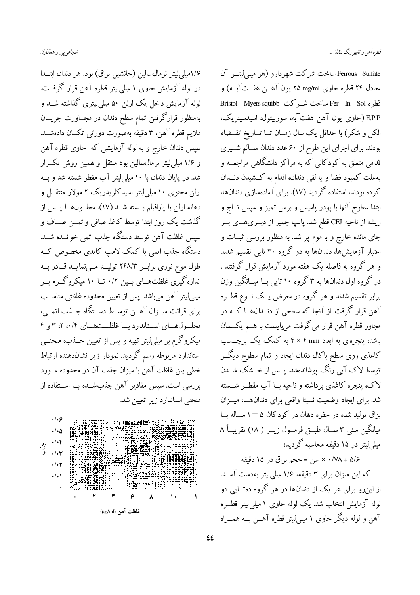١/٤مبلي ليتر نر مال سالين (جانشين بزاق) بود. هر دندان ابتــدا در لوله آزمایش حاوی ۱ میلی لیتر قطره آهن قرار گرفت. لوله آزمایش داخل یک ارلن ۵۰ میلی لیتری گذاشته شــد و بهمنظور قرارگرفتن تمام سطح دندان در مجــاورت جريـــان ملايم قطره آهن، ٣ دقيقه بهصورت دوراني تكــان دادهشــد. سپس دندان خارج و به لوله آزمایشی که حاوی قطره آهن و ۱/۶ میلی لیتر نرمال سالین بود منتقل و همین روش تک رار شد. در پایان دندان با ۱۰ میلی!یتر آب مقطر شسته شد و بــه ارلن محتوی ۱۰ میلی لیتر اسیدکلریدریک ۲ مولار منتقــل و دهانه ارلن با پارافیلم بـــسته شـــد (١٧). محلـــول@ـــا پـــس از گذشت یک روز ابتدا توسط کاغذ صافی واتمــن صــاف و سیس غلظت آهن توسط دستگاه جذب اتمی خوانــده شــد. دستگاه جذب اتمی با کمک لامپ کاتدی مخصوص ک طول موج نوری براب ۲۴۸/۳ تولیـد مـی نمایـد قـادر بـه اندازه گیری غلظتهــای بــین ۰/۲ تــا ۱۰ میکروگــرم بــر میلی لیتر آهن میباشد. پس از تعیین محدوده غلظتی مناسب برای قرائت میــزان آهــن توســط دســتگاه جــذب اتمــي، محلـولهـاي اســتاندارد بـا غلظــتهـاي ٠/٤، ٢، ٣و ٤ میکروگرم بر میلی!یتر تهیه و پس از تعیین جــذب، منحنــی استاندارد مربوطه رسم گردید. نمودار زیر نشاندهنده ارتباط خطی بین غلظت آهن با میزان جذب آن در محدوده مــورد بررسی است. سیس مقادیر آهن جذبشــده بــا اســتفاده از منحنی استاندارد زیر تعیین شد.



Ferrous Sulfate ساخت شركت شهر دارو (هر مبلي ليتبر آن معادل ۲۴ قطره حاوي ۲۵ mg/ml یون آهــن هفــتآبــه) و قطره Fer – In – Sol ساخت شبر كت Bristol – Myers squibb E.P.P (حاوي يون آهن هفتآبه، سوربيتول، اسيدسيتريك، الکل و شکر) با حداقل یک سال زمــان تــا تــاریخ انقــضاء بودند. برای اجرای این طرح از ۶۰ عدد دندان سـالم شــیری .<br>قدامی متعلق به کودکانی که به مراکز دانشگاهی مراجعــه و بهعلت كمبود فضا و يا لقى دندان، اقدام به كـــشيدن دنـــدان کرده بودند، استفاده گردید (۱۷). برای آمادهسازی دندانها، ابتدا سطوح آنها با پودر پامیس و برس تمیز و سپس تــاج و ریشه از ناحیه CEJ قطع شد. پالپ چمبر از دبــریهــای بــر جای مانده خارج و با موم پر شد. به منظور بررسی ثبــات و اعتبار آزمایشها، دندانها به دو گروه ۳۰ تایی تقسیم شدند و هر گروه به فاصله یک هفته مورد آزمایش قرار گرفتند . در گروه اول دندانها به ۳ گروه ۱۰ تایی بــا میــانگین وزن برابر تقسیم شدند و هر گروه در معرض یــک نــوع قطــره آهن قرار گرفت. از آنجا که سطحی از دنــدان@هــا کــه در مجاور قطره آهن قرار میگرفت میبایست با هــم یکــسان باشد، پنجرهای به ابعاد ۴ × ۴ به کمک یک برچــسب کاغذی روی سطح باکال دندان ایجاد و تمام سطوح دیگــر توسط لاک آبی رنگ پوشاندهشد. پــس از خــشک شــدن لاک، پنجره کاغذی برداشته و ناحیه بــا آب مقطــر شــسته شد. برای ایجاد وضعیت نسبتا واقعی برای دندانهـا، میــزان بزاق تولید شده در حفره دهان در کودکان ۵  $-$  ۱ ســاله بــا میانگین سنی ۳ ســال طبــق فرمــول زیــر ( ۱۸) تقریبــاً ۸ میلی/یتر در ۱۵ دقیقه محاسبه گردید:

۵/۶ + ۰/۷۸ × سن = حجم بزاق در ۱۵ دقیقه که این میزان برای ۳ دقیقه، ۱/۶ میلی لیتر بهدست آمـد. از این رو برای هر یک از دندانها در هر گروه دهتـایی دو لوله آزمایش انتخاب شد. یک لوله حاوی ۱ میلی لیتر قطـره آهن و لوله دیگر حاوی ۱ میلی لیتر قطره آهــن بــه همـــراه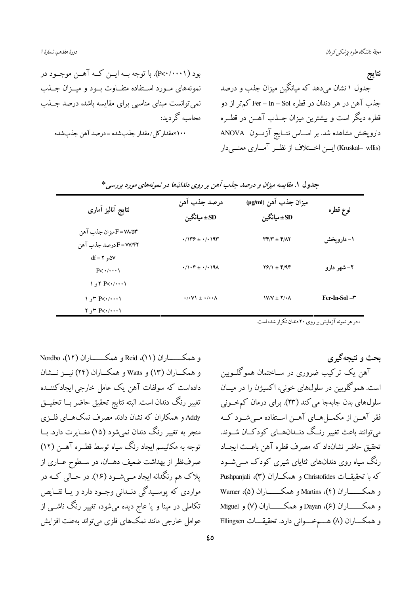بود (P<۰/۰۰۰۱). با توجه بــه ايــن كــه آهــن موجــود در نتايج جدول ۱ نشان میدهد که میانگین میزان جذب و درصد نمونههای مـورد اسـتفاده متفـاوت بـود و میـزان جـذب جذب آهن در هر دندان در قطره Fer – In – Sol کمتر از دو نمی توانست مبنای مناسبی برای مقایسه باشد، درصد جــذب قطره دیگر است و بیشترین میزان جــذب آهــن در قطــره محاسبه گردید: داروپخش مشاهده شد. بر اســاس نتــايج آزمــون ANOVA ۱۰۰×مقدار کل/مقدار جذب شده =در صد آهن جذب شده (Kruskal– wllis) ایس اختلاف از نظـر آمــاری معنــی دار

| نتايج أناليز أمارى                                                                                           | درصد جذب آهن<br>SD± ميانگين                                   | ميزان جذب آهن (µg/ml)<br>SD±ميانگين                              | نوع قطره            |
|--------------------------------------------------------------------------------------------------------------|---------------------------------------------------------------|------------------------------------------------------------------|---------------------|
| F = YA/۵۳ هيز ان جذب آهن<br>F=W/۴۲ درصد جذب آهن                                                              | $\cdot$ /1۳۶ ± $\cdot$ / $\cdot$ 19۳                          | $\mathbf{r} \mathbf{r} / \mathbf{r} \pm \mathbf{r} / \mathbf{r}$ | ۱– دارویخش          |
| $df = Y \cdot \Delta V$<br>P <sub>Y</sub> ()                                                                 | $\cdot$ / $\cdot$ ۴ ± $\cdot$ / $\cdot$ $\cdot$ 9 $\Lambda$   | $Y$ $Y$ /1 $\pm$ $Y$ /9 $Y$                                      | ۲– شهر دارو         |
| $1, 7$ P $\lt\cdot\cdot\cdot\cdot\cdot$<br>$\gamma$ or P $\lt\cdot/\cdots\gamma$<br>$Y, Y \in P \leq (1, 1)$ | $\cdot$ / $\cdot$ V $\cdot$ $\pm$ $\cdot$ / $\cdot$ $\cdot$ A | $V/N \pm Y/\cdot \Lambda$                                        | $Fer-In-Sol - \tau$ |

جدول ۱. مقایسه میزان و درصد جذب آهن بر روی دندانها در نمونههای مورد بررسی\*

و همکــــــــاران (١١)، Reid و همکــــــــاران (١٢)، Nordbo و همکـــاران (١٣) و Watts و همکـــاران (٢۴) نيـــز نـــشان دادهاست که سولفات آهن یک عامل خارجی ایجادکننــده تغيير رنگ دندان است. البته نتايج تحقيق حاضر بــا تحقيـــق Addy و همکاران که نشان دادند مصرف نمکهــای فلــزی منجر به تغییر رنگ دندان نمیشود (۱۵) مغــایرت دارد. بــا توجه به مکانیسم ایجاد رنگ سیاه توسط قطــره آهـــن (١٢) صرفنظر از بهداشت ضعیف دهــان، در ســطوح عــاری از یلاک هم رنگدانه ایجاد مــیشــود (۱۶). در حــالی کــه در مواردي که يوسـيدگي دنــداني وجــود دارد و پــا نقــايص تکاملی در مینا و یا عاج دیده میشود، تغییر رنگ ناشــی از عوامل خارجی مانند نمکھای فلزی می تواند بهعلت افزایش

\*در هر نمونه آزمایش بر روی ۲۰ دندان تکرار شده است

بحث و نتیجهگیری آهن یک ترکیب ضروری در ســاختمان هموگلــوبین است. همو گلوبین در سلولهای خونی، اکسیژن را در میــان سلولهای بدن جابهجا می کند (۲۳). برای درمان کمخونی فقر آهــن از مكمـــلهـــاي آهــن اســتفاده مــيشــود كــه می توانند باعث تغییر رنـگ دنــدانهــای کودکــان شــوند. تحقيق حاضر نشانداد كه مصرف قطره آهن باعــث ايجــاد رنگ سیاه روی دندانهای ثنایای شیری کودک مــیشــود که با تحقیقــات Christofides و همکـــاران (۳)، Pushpanjali و همکـــــــاران (۴)، Martins و همکـــــــاران (۵)، Warner و همکـــــــاران (۶)، Dayan و همکــــــــاران (۷) و Miguel و همكـــاران (٨) هــــمخـــواني دارد. تحقيقـــات Ellingsen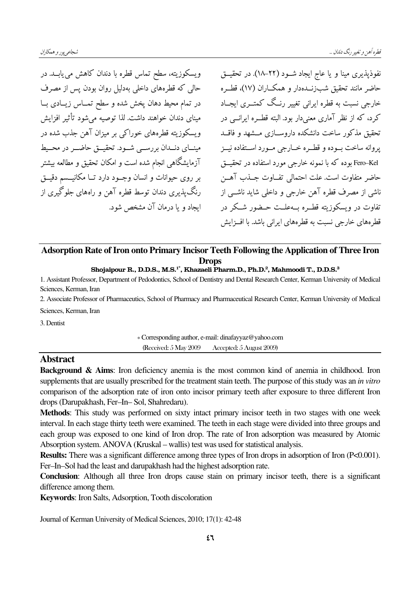ویسکوزیته، سطح تماس قطره با دندان کاهش می پابـد. در حالی که قطرههای داخلی بهدلیل روان بودن پس از مصرف در تمام محیط دهان یخش شده و سطح تمــاس زیــادی بــا مبنای دندان خواهند داشت. لذا توصیه می شود تأثیر افزایش ویسکوزیته قطرههای خوراکی بر میزان آهن جذب شده در مینسای دنسدان بررستی شبود. تحقیق حاضیر در محسیط آزمایشگاهی انجام شده است و امکان تحقیق و مطالعه بیشتر بر روی حیوانات و انسان وجـود دارد تــا مکانیــسم دقیــق رنگ پذیری دندان توسط قطره آهن و راههای جلوگیری از ابجاد و یا درمان آن مشخص شود.

نفوذيذيري مينا و يا عاج ايجاد شـود (٢٢-١٨). در تحقيــق حاضر مانند تحقیق شبزنــدهدار و همکــاران (۱۷)، قطــره خارجی نسبت به قطره ایرنی تغییر رنیگ کمتبری ایجباد کر د، که از نظر آماری معنی دار بود. البته قطـره ابرانــی در تحقیق مذکور ساخت دانشکده داروسیازی میشهد و فاقید يروانه ساخت بسوده و قطبره خبارجي مسورد استفاده نيبز Fero–Kel بوده که با نمونه خارجی مورد استفاده در تحقیــق حاضر متفاوت است. علت احتمالی تفــاوت جــذب آهــن ۔<br>ناشی از مصرف قطرہ آھن خارجے و داخلی شاید ناشــی از تفاوت در ویسکوزیته قط ه په علت حیضور شبکر در قطر مهای خارجی نسبت به قطر مهای ایرانی باشد. با اف|بش

## Adsorption Rate of Iron onto Primary Incisor Teeth Following the Application of Three Iron **Drops**

#### Shojaipour R., D.D.S., M.S.<sup>1\*</sup>, Khazaeli Pharm.D., Ph.D.<sup>2</sup>, Mahmoodi T., D.D.S.<sup>3</sup>

1. Assistant Professor, Department of Pedodontics, School of Dentistry and Dental Research Center, Kerman University of Medical Sciences, Kerman, Iran

2. Associate Professor of Pharmaceutics, School of Pharmacy and Pharmaceutical Research Center, Kerman University of Medical Sciences, Kerman, Iran

3. Dentist

\* Corresponding author, e-mail: dinafayyaz@yahoo.com (Received: 5 May 2009) Accepted: 5 August 2009)

## **Abstract**

**Background & Aims:** Iron deficiency anemia is the most common kind of anemia in childhood. Iron supplements that are usually prescribed for the treatment stain teeth. The purpose of this study was an in vitro comparison of the adsorption rate of iron onto incisor primary teeth after exposure to three different Iron drops (Darupakhash, Fer-In-Sol, Shahredaru).

Methods: This study was performed on sixty intact primary incisor teeth in two stages with one week interval. In each stage thirty teeth were examined. The teeth in each stage were divided into three groups and each group was exposed to one kind of Iron drop. The rate of Iron adsorption was measured by Atomic Absorption system. ANOVA (Kruskal – wallis) test was used for statistical analysis.

**Results:** There was a significant difference among three types of Iron drops in adsorption of Iron (P<0.001). Fer-In-Sol had the least and darupakhash had the highest adsorption rate.

**Conclusion:** Although all three Iron drops cause stain on primary incisor teeth, there is a significant difference among them.

Keywords: Iron Salts, Adsorption, Tooth discoloration

Journal of Kerman University of Medical Sciences, 2010; 17(1): 42-48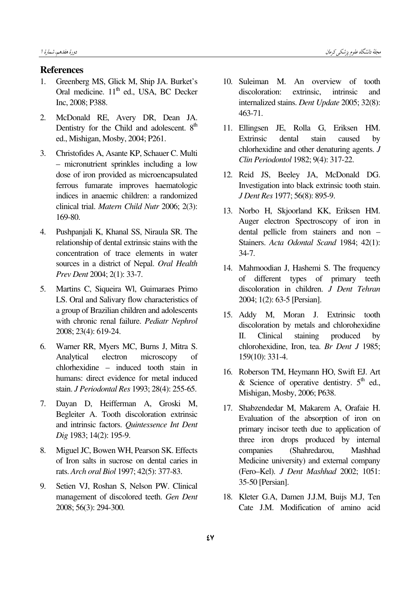### **References**

- 1. Greenberg MS, Glick M, Ship JA. Burket's Oral medicine.  $11<sup>th</sup>$  ed., USA, BC Decker Inc, 2008; P388.
- 2. McDonald RE, Avery DR, Dean JA. Dentistry for the Child and adolescent.  $8<sup>th</sup>$ ed., Mishigan, Mosby, 2004; P261.
- 3. Christofides A, Asante KP, Schauer C. Multi – micronutrient sprinkles including a low dose of iron provided as microencapsulated ferrous fumarate improves haematologic indices in anaemic children: a randomized clinical trial. Matern Child Nutr 2006; 2(3): 169-80.
- 4. Pushpanjali K, Khanal SS, Niraula SR. The relationship of dental extrinsic stains with the concentration of trace elements in water sources in a district of Nepal. Oral Health Prev Dent 2004; 2(1): 33-7.
- 5. Martins C, Siqueira Wl, Guimaraes Primo LS. Oral and Salivary flow characteristics of a group of Brazilian children and adolescents with chronic renal failure. Pediatr Nephrol 2008; 23(4): 619-24.
- 6. Warner RR, Myers MC, Burns J, Mitra S. Analytical electron microscopy of chlorhexidine – induced tooth stain in humans: direct evidence for metal induced stain. J Periodontal Res 1993; 28(4): 255-65.
- 7. Dayan D, Heifferman A, Groski M, Begleiter A. Tooth discoloration extrinsic and intrinsic factors. Quintessence Int Dent Dig 1983; 14(2): 195-9.
- 8. Miguel JC, Bowen WH, Pearson SK. Effects of Iron salts in sucrose on dental caries in rats. Arch oral Biol 1997; 42(5): 377-83.
- 9. Setien VJ, Roshan S, Nelson PW. Clinical management of discolored teeth. Gen Dent 2008; 56(3): 294-300.
- 10. Suleiman M. An overview of tooth discoloration: extrinsic, intrinsic and internalized stains. Dent Update 2005; 32(8): 463-71.
- 11. Ellingsen JE, Rolla G, Eriksen HM. Extrinsic dental stain caused by chlorhexidine and other denaturing agents. J Clin Periodontol 1982; 9(4): 317-22.
- 12. Reid JS, Beeley JA, McDonald DG. Investigation into black extrinsic tooth stain. J Dent Res 1977; 56(8): 895-9.
- 13. Norbo H, Skjoorland KK, Eriksen HM. Auger electron Spectroscopy of iron in dental pellicle from stainers and non – Stainers. Acta Odontal Scand 1984; 42(1): 34-7.
- 14. Mahmoodian J, Hashemi S. The frequency of different types of primary teeth discoloration in children. J Dent Tehran 2004; 1(2): 63-5 [Persian].
- 15. Addy M, Moran J. Extrinsic tooth discoloration by metals and chlorohexidine II. Clinical staining produced by chlorohexidine, Iron, tea. Br Dent J 1985; 159(10): 331-4.
- 16. Roberson TM, Heymann HO, Swift EJ. Art & Science of operative dentistry.  $5<sup>th</sup>$  ed., Mishigan, Mosby, 2006; P638.
- 17. Shabzendedar M, Makarem A, Orafaie H. Evaluation of the absorption of iron on primary incisor teeth due to application of three iron drops produced by internal companies (Shahredarou, Mashhad Medicine university) and external company (Fero–Kel). J Dent Mashhad 2002; 1051: 35-50 [Persian].
- 18. Kleter G.A, Damen J.J.M, Buijs M.J, Ten Cate J.M. Modification of amino acid